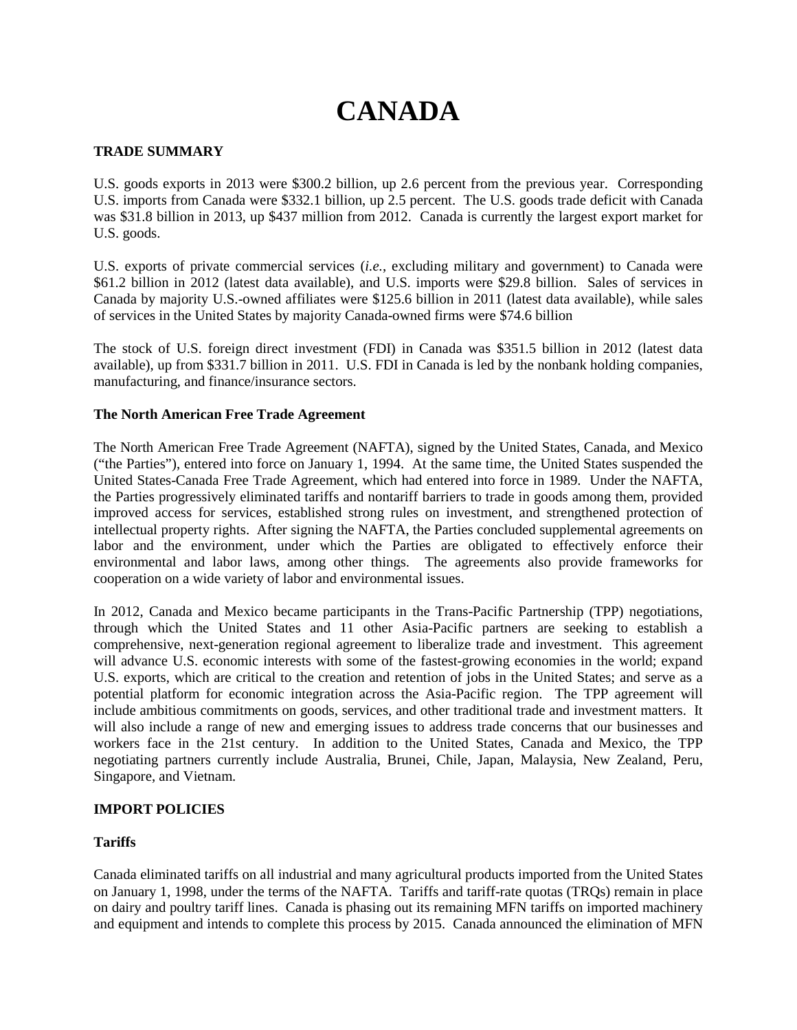# **CANADA**

## **TRADE SUMMARY**

U.S. goods exports in 2013 were \$300.2 billion, up 2.6 percent from the previous year. Corresponding U.S. imports from Canada were \$332.1 billion, up 2.5 percent. The U.S. goods trade deficit with Canada was \$31.8 billion in 2013, up \$437 million from 2012. Canada is currently the largest export market for U.S. goods.

U.S. exports of private commercial services (*i.e.*, excluding military and government) to Canada were \$61.2 billion in 2012 (latest data available), and U.S. imports were \$29.8 billion. Sales of services in Canada by majority U.S.-owned affiliates were \$125.6 billion in 2011 (latest data available), while sales of services in the United States by majority Canada-owned firms were \$74.6 billion

The stock of U.S. foreign direct investment (FDI) in Canada was \$351.5 billion in 2012 (latest data available), up from \$331.7 billion in 2011. U.S. FDI in Canada is led by the nonbank holding companies, manufacturing, and finance/insurance sectors.

## **The North American Free Trade Agreement**

The North American Free Trade Agreement (NAFTA), signed by the United States, Canada, and Mexico ("the Parties"), entered into force on January 1, 1994. At the same time, the United States suspended the United States-Canada Free Trade Agreement, which had entered into force in 1989. Under the NAFTA, the Parties progressively eliminated tariffs and nontariff barriers to trade in goods among them, provided improved access for services, established strong rules on investment, and strengthened protection of intellectual property rights. After signing the NAFTA, the Parties concluded supplemental agreements on labor and the environment, under which the Parties are obligated to effectively enforce their environmental and labor laws, among other things. The agreements also provide frameworks for cooperation on a wide variety of labor and environmental issues.

In 2012, Canada and Mexico became participants in the Trans-Pacific Partnership (TPP) negotiations, through which the United States and 11 other Asia-Pacific partners are seeking to establish a comprehensive, next-generation regional agreement to liberalize trade and investment. This agreement will advance U.S. economic interests with some of the fastest-growing economies in the world; expand U.S. exports, which are critical to the creation and retention of jobs in the United States; and serve as a potential platform for economic integration across the Asia-Pacific region. The TPP agreement will include ambitious commitments on goods, services, and other traditional trade and investment matters. It will also include a range of new and emerging issues to address trade concerns that our businesses and workers face in the 21st century. In addition to the United States, Canada and Mexico, the TPP negotiating partners currently include Australia, Brunei, Chile, Japan, Malaysia, New Zealand, Peru, Singapore, and Vietnam.

## **IMPORT POLICIES**

## **Tariffs**

Canada eliminated tariffs on all industrial and many agricultural products imported from the United States on January 1, 1998, under the terms of the NAFTA. Tariffs and tariff-rate quotas (TRQs) remain in place on dairy and poultry tariff lines. Canada is phasing out its remaining MFN tariffs on imported machinery and equipment and intends to complete this process by 2015. Canada announced the elimination of MFN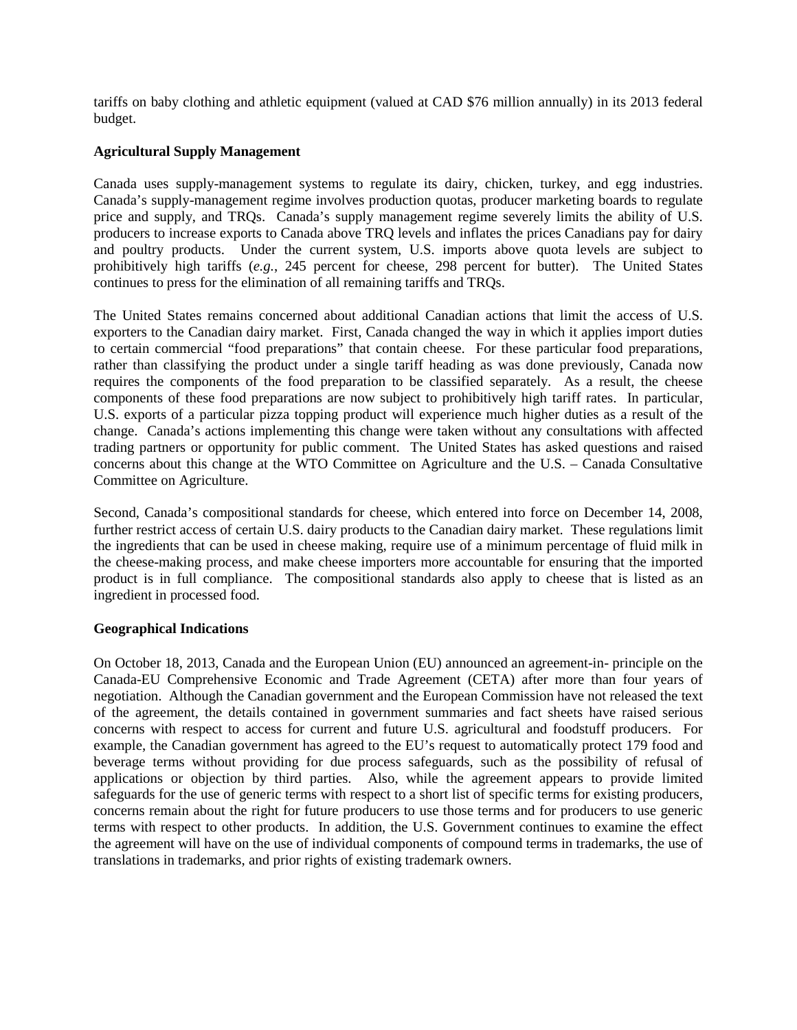tariffs on baby clothing and athletic equipment (valued at CAD \$76 million annually) in its 2013 federal budget.

# **Agricultural Supply Management**

Canada uses supply-management systems to regulate its dairy, chicken, turkey, and egg industries. Canada's supply-management regime involves production quotas, producer marketing boards to regulate price and supply, and TRQs. Canada's supply management regime severely limits the ability of U.S. producers to increase exports to Canada above TRQ levels and inflates the prices Canadians pay for dairy and poultry products. Under the current system, U.S. imports above quota levels are subject to prohibitively high tariffs (*e.g.*, 245 percent for cheese, 298 percent for butter). The United States continues to press for the elimination of all remaining tariffs and TRQs.

The United States remains concerned about additional Canadian actions that limit the access of U.S. exporters to the Canadian dairy market. First, Canada changed the way in which it applies import duties to certain commercial "food preparations" that contain cheese. For these particular food preparations, rather than classifying the product under a single tariff heading as was done previously, Canada now requires the components of the food preparation to be classified separately. As a result, the cheese components of these food preparations are now subject to prohibitively high tariff rates. In particular, U.S. exports of a particular pizza topping product will experience much higher duties as a result of the change. Canada's actions implementing this change were taken without any consultations with affected trading partners or opportunity for public comment. The United States has asked questions and raised concerns about this change at the WTO Committee on Agriculture and the U.S. – Canada Consultative Committee on Agriculture.

Second, Canada's compositional standards for cheese, which entered into force on December 14, 2008, further restrict access of certain U.S. dairy products to the Canadian dairy market. These regulations limit the ingredients that can be used in cheese making, require use of a minimum percentage of fluid milk in the cheese-making process, and make cheese importers more accountable for ensuring that the imported product is in full compliance. The compositional standards also apply to cheese that is listed as an ingredient in processed food.

## **Geographical Indications**

On October 18, 2013, Canada and the European Union (EU) announced an agreement-in- principle on the Canada-EU Comprehensive Economic and Trade Agreement (CETA) after more than four years of negotiation. Although the Canadian government and the European Commission have not released the text of the agreement, the details contained in government summaries and fact sheets have raised serious concerns with respect to access for current and future U.S. agricultural and foodstuff producers. For example, the Canadian government has agreed to the EU's request to automatically protect 179 food and beverage terms without providing for due process safeguards, such as the possibility of refusal of applications or objection by third parties. Also, while the agreement appears to provide limited safeguards for the use of generic terms with respect to a short list of specific terms for existing producers, concerns remain about the right for future producers to use those terms and for producers to use generic terms with respect to other products. In addition, the U.S. Government continues to examine the effect the agreement will have on the use of individual components of compound terms in trademarks, the use of translations in trademarks, and prior rights of existing trademark owners.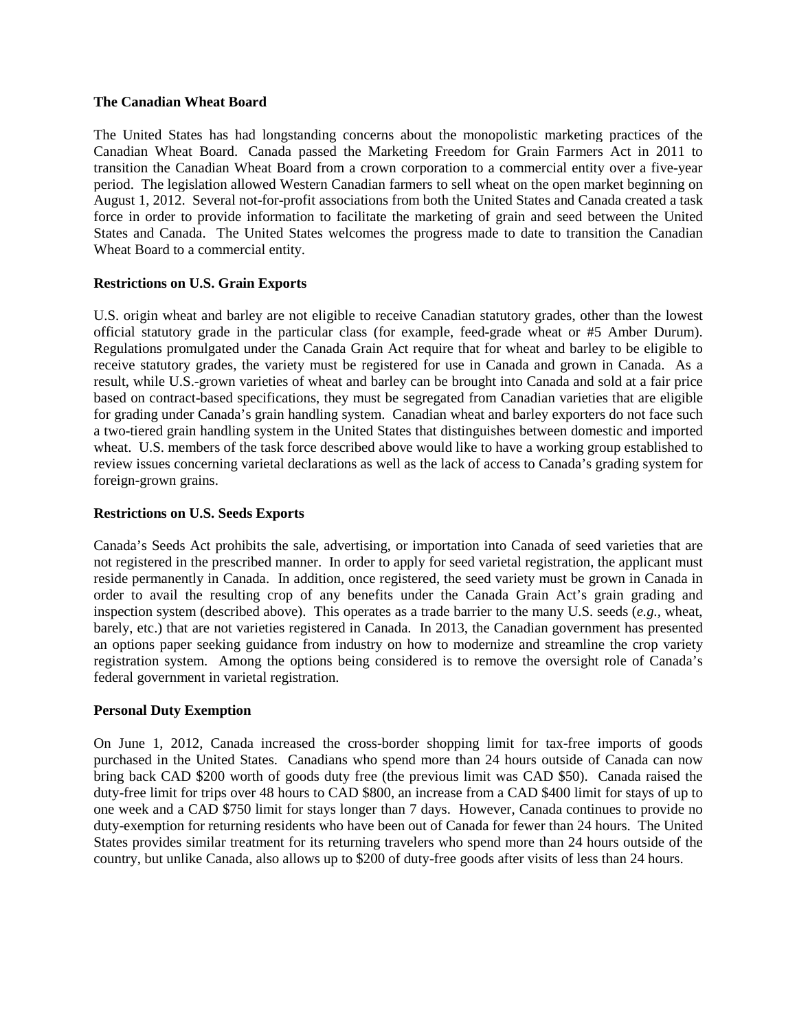#### **The Canadian Wheat Board**

The United States has had longstanding concerns about the monopolistic marketing practices of the Canadian Wheat Board. Canada passed the Marketing Freedom for Grain Farmers Act in 2011 to transition the Canadian Wheat Board from a crown corporation to a commercial entity over a five-year period. The legislation allowed Western Canadian farmers to sell wheat on the open market beginning on August 1, 2012. Several not-for-profit associations from both the United States and Canada created a task force in order to provide information to facilitate the marketing of grain and seed between the United States and Canada. The United States welcomes the progress made to date to transition the Canadian Wheat Board to a commercial entity.

## **Restrictions on U.S. Grain Exports**

U.S. origin wheat and barley are not eligible to receive Canadian statutory grades, other than the lowest official statutory grade in the particular class (for example, feed-grade wheat or #5 Amber Durum). Regulations promulgated under the Canada Grain Act require that for wheat and barley to be eligible to receive statutory grades, the variety must be registered for use in Canada and grown in Canada. As a result, while U.S.-grown varieties of wheat and barley can be brought into Canada and sold at a fair price based on contract-based specifications, they must be segregated from Canadian varieties that are eligible for grading under Canada's grain handling system. Canadian wheat and barley exporters do not face such a two-tiered grain handling system in the United States that distinguishes between domestic and imported wheat. U.S. members of the task force described above would like to have a working group established to review issues concerning varietal declarations as well as the lack of access to Canada's grading system for foreign-grown grains.

## **Restrictions on U.S. Seeds Exports**

Canada's Seeds Act prohibits the sale, advertising, or importation into Canada of seed varieties that are not registered in the prescribed manner. In order to apply for seed varietal registration, the applicant must reside permanently in Canada. In addition, once registered, the seed variety must be grown in Canada in order to avail the resulting crop of any benefits under the Canada Grain Act's grain grading and inspection system (described above). This operates as a trade barrier to the many U.S. seeds (*e.g.,* wheat, barely, etc.) that are not varieties registered in Canada. In 2013, the Canadian government has presented an options paper seeking guidance from industry on how to modernize and streamline the crop variety registration system. Among the options being considered is to remove the oversight role of Canada's federal government in varietal registration.

## **Personal Duty Exemption**

On June 1, 2012, Canada increased the cross-border shopping limit for tax-free imports of goods purchased in the United States. Canadians who spend more than 24 hours outside of Canada can now bring back CAD \$200 worth of goods duty free (the previous limit was CAD \$50). Canada raised the duty-free limit for trips over 48 hours to CAD \$800, an increase from a CAD \$400 limit for stays of up to one week and a CAD \$750 limit for stays longer than 7 days. However, Canada continues to provide no duty-exemption for returning residents who have been out of Canada for fewer than 24 hours. The United States provides similar treatment for its returning travelers who spend more than 24 hours outside of the country, but unlike Canada, also allows up to \$200 of duty-free goods after visits of less than 24 hours.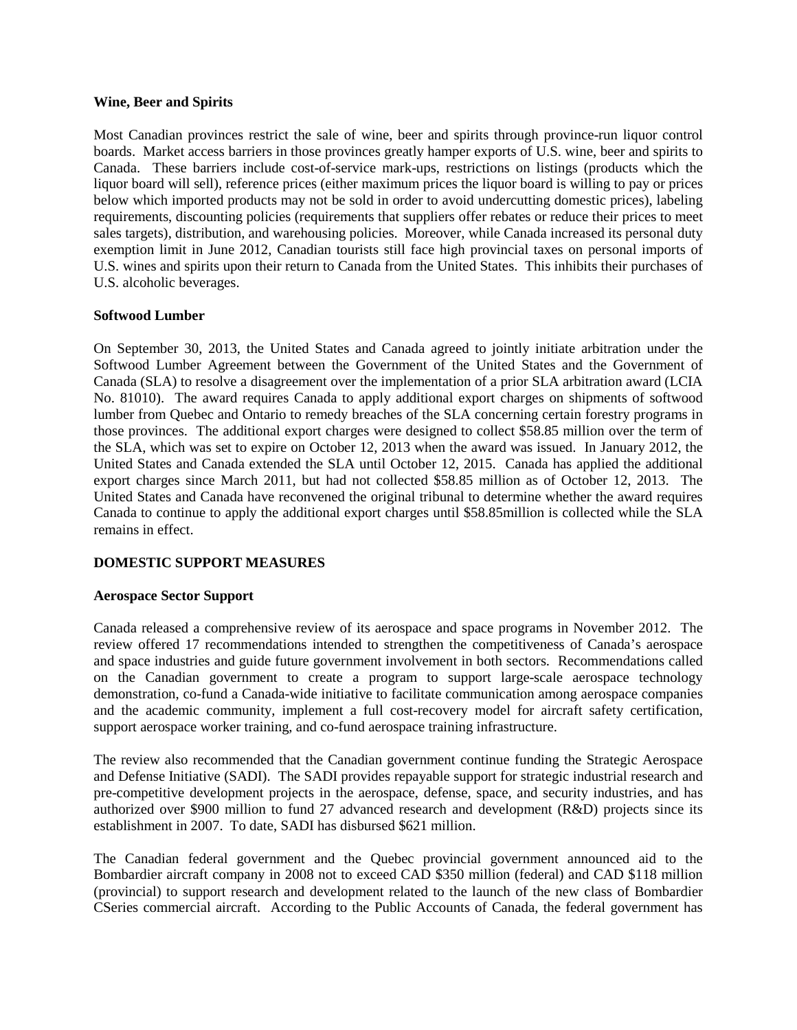#### **Wine, Beer and Spirits**

Most Canadian provinces restrict the sale of wine, beer and spirits through province-run liquor control boards. Market access barriers in those provinces greatly hamper exports of U.S. wine, beer and spirits to Canada. These barriers include cost-of-service mark-ups, restrictions on listings (products which the liquor board will sell), reference prices (either maximum prices the liquor board is willing to pay or prices below which imported products may not be sold in order to avoid undercutting domestic prices), labeling requirements, discounting policies (requirements that suppliers offer rebates or reduce their prices to meet sales targets), distribution, and warehousing policies. Moreover, while Canada increased its personal duty exemption limit in June 2012, Canadian tourists still face high provincial taxes on personal imports of U.S. wines and spirits upon their return to Canada from the United States. This inhibits their purchases of U.S. alcoholic beverages.

## **Softwood Lumber**

On September 30, 2013, the United States and Canada agreed to jointly initiate arbitration under the Softwood Lumber Agreement between the Government of the United States and the Government of Canada (SLA) to resolve a disagreement over the implementation of a prior SLA arbitration award (LCIA No. 81010). The award requires Canada to apply additional export charges on shipments of softwood lumber from Quebec and Ontario to remedy breaches of the SLA concerning certain forestry programs in those provinces. The additional export charges were designed to collect \$58.85 million over the term of the SLA, which was set to expire on October 12, 2013 when the award was issued. In January 2012, the United States and Canada extended the SLA until October 12, 2015. Canada has applied the additional export charges since March 2011, but had not collected \$58.85 million as of October 12, 2013. The United States and Canada have reconvened the original tribunal to determine whether the award requires Canada to continue to apply the additional export charges until \$58.85million is collected while the SLA remains in effect.

## **DOMESTIC SUPPORT MEASURES**

#### **Aerospace Sector Support**

Canada released a comprehensive review of its aerospace and space programs in November 2012. The review offered 17 recommendations intended to strengthen the competitiveness of Canada's aerospace and space industries and guide future government involvement in both sectors. Recommendations called on the Canadian government to create a program to support large-scale aerospace technology demonstration, co-fund a Canada-wide initiative to facilitate communication among aerospace companies and the academic community, implement a full cost-recovery model for aircraft safety certification, support aerospace worker training, and co-fund aerospace training infrastructure.

The review also recommended that the Canadian government continue funding the Strategic Aerospace and Defense Initiative (SADI). The SADI provides repayable support for strategic industrial research and pre-competitive development projects in the aerospace, defense, space, and security industries, and has authorized over \$900 million to fund 27 advanced research and development (R&D) projects since its establishment in 2007. To date, SADI has disbursed \$621 million.

The Canadian federal government and the Quebec provincial government announced aid to the Bombardier aircraft company in 2008 not to exceed CAD \$350 million (federal) and CAD \$118 million (provincial) to support research and development related to the launch of the new class of Bombardier CSeries commercial aircraft. According to the Public Accounts of Canada, the federal government has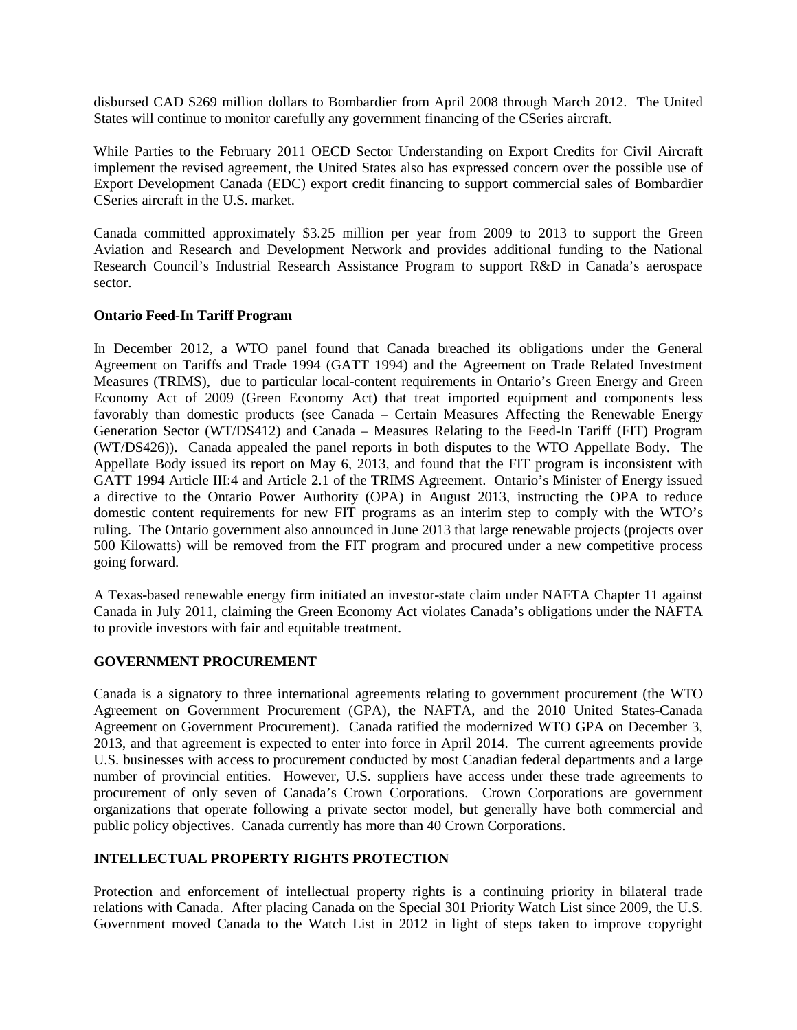disbursed CAD \$269 million dollars to Bombardier from April 2008 through March 2012. The United States will continue to monitor carefully any government financing of the CSeries aircraft.

While Parties to the February 2011 OECD Sector Understanding on Export Credits for Civil Aircraft implement the revised agreement, the United States also has expressed concern over the possible use of Export Development Canada (EDC) export credit financing to support commercial sales of Bombardier CSeries aircraft in the U.S. market.

Canada committed approximately \$3.25 million per year from 2009 to 2013 to support the Green Aviation and Research and Development Network and provides additional funding to the National Research Council's Industrial Research Assistance Program to support R&D in Canada's aerospace sector.

## **Ontario Feed-In Tariff Program**

In December 2012, a WTO panel found that Canada breached its obligations under the General Agreement on Tariffs and Trade 1994 (GATT 1994) and the Agreement on Trade Related Investment Measures (TRIMS), due to particular local-content requirements in Ontario's Green Energy and Green Economy Act of 2009 (Green Economy Act) that treat imported equipment and components less favorably than domestic products (see Canada – Certain Measures Affecting the Renewable Energy Generation Sector (WT/DS412) and Canada – Measures Relating to the Feed-In Tariff (FIT) Program (WT/DS426)). Canada appealed the panel reports in both disputes to the WTO Appellate Body. The Appellate Body issued its report on May 6, 2013, and found that the FIT program is inconsistent with GATT 1994 Article III:4 and Article 2.1 of the TRIMS Agreement. Ontario's Minister of Energy issued a directive to the Ontario Power Authority (OPA) in August 2013, instructing the OPA to reduce domestic content requirements for new FIT programs as an interim step to comply with the WTO's ruling. The Ontario government also announced in June 2013 that large renewable projects (projects over 500 Kilowatts) will be removed from the FIT program and procured under a new competitive process going forward.

A Texas-based renewable energy firm initiated an investor-state claim under NAFTA Chapter 11 against Canada in July 2011, claiming the Green Economy Act violates Canada's obligations under the NAFTA to provide investors with fair and equitable treatment.

## **GOVERNMENT PROCUREMENT**

Canada is a signatory to three international agreements relating to government procurement (the WTO Agreement on Government Procurement (GPA), the NAFTA, and the 2010 United States-Canada Agreement on Government Procurement). Canada ratified the modernized WTO GPA on December 3, 2013, and that agreement is expected to enter into force in April 2014. The current agreements provide U.S. businesses with access to procurement conducted by most Canadian federal departments and a large number of provincial entities. However, U.S. suppliers have access under these trade agreements to procurement of only seven of Canada's Crown Corporations. Crown Corporations are government organizations that operate following a private sector model, but generally have both commercial and public policy objectives. Canada currently has more than 40 Crown Corporations.

## **INTELLECTUAL PROPERTY RIGHTS PROTECTION**

Protection and enforcement of intellectual property rights is a continuing priority in bilateral trade relations with Canada. After placing Canada on the Special 301 Priority Watch List since 2009, the U.S. Government moved Canada to the Watch List in 2012 in light of steps taken to improve copyright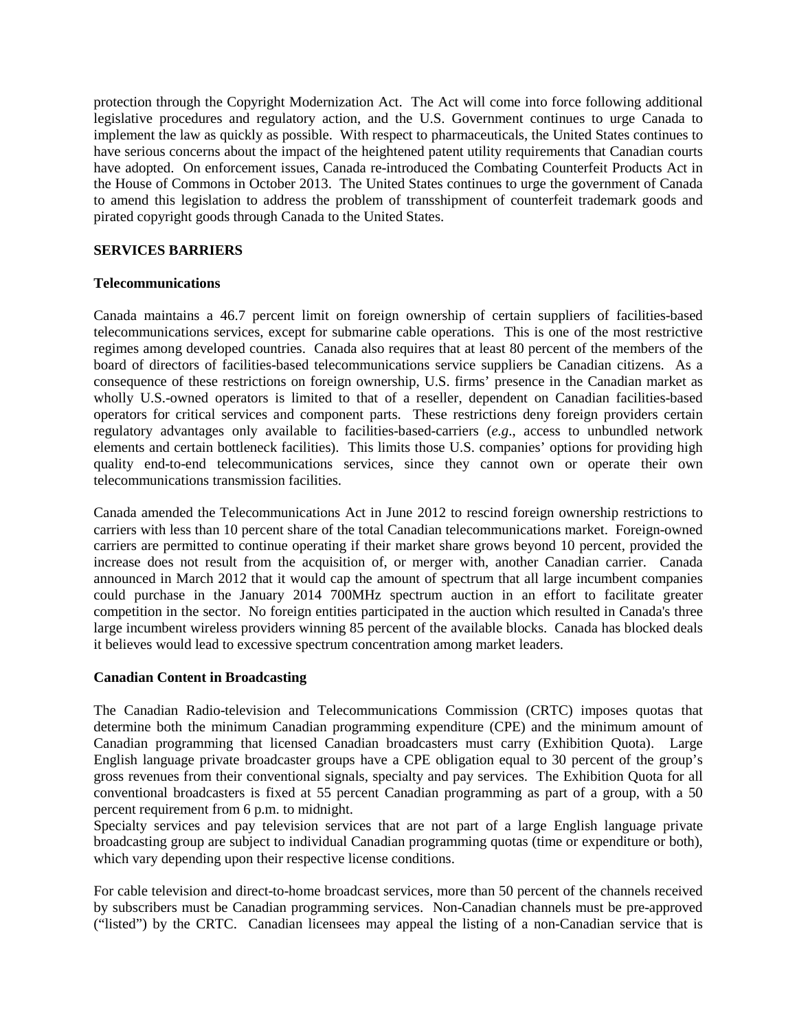protection through the Copyright Modernization Act. The Act will come into force following additional legislative procedures and regulatory action, and the U.S. Government continues to urge Canada to implement the law as quickly as possible. With respect to pharmaceuticals, the United States continues to have serious concerns about the impact of the heightened patent utility requirements that Canadian courts have adopted. On enforcement issues, Canada re-introduced the Combating Counterfeit Products Act in the House of Commons in October 2013. The United States continues to urge the government of Canada to amend this legislation to address the problem of transshipment of counterfeit trademark goods and pirated copyright goods through Canada to the United States.

## **SERVICES BARRIERS**

## **Telecommunications**

Canada maintains a 46.7 percent limit on foreign ownership of certain suppliers of facilities-based telecommunications services, except for submarine cable operations. This is one of the most restrictive regimes among developed countries. Canada also requires that at least 80 percent of the members of the board of directors of facilities-based telecommunications service suppliers be Canadian citizens. As a consequence of these restrictions on foreign ownership, U.S. firms' presence in the Canadian market as wholly U.S.-owned operators is limited to that of a reseller, dependent on Canadian facilities-based operators for critical services and component parts. These restrictions deny foreign providers certain regulatory advantages only available to facilities-based-carriers (*e.g*., access to unbundled network elements and certain bottleneck facilities). This limits those U.S. companies' options for providing high quality end-to-end telecommunications services, since they cannot own or operate their own telecommunications transmission facilities.

Canada amended the Telecommunications Act in June 2012 to rescind foreign ownership restrictions to carriers with less than 10 percent share of the total Canadian telecommunications market. Foreign-owned carriers are permitted to continue operating if their market share grows beyond 10 percent, provided the increase does not result from the acquisition of, or merger with, another Canadian carrier. Canada announced in March 2012 that it would cap the amount of spectrum that all large incumbent companies could purchase in the January 2014 700MHz spectrum auction in an effort to facilitate greater competition in the sector. No foreign entities participated in the auction which resulted in Canada's three large incumbent wireless providers winning 85 percent of the available blocks. Canada has blocked deals it believes would lead to excessive spectrum concentration among market leaders.

## **Canadian Content in Broadcasting**

The Canadian Radio-television and Telecommunications Commission (CRTC) imposes quotas that determine both the minimum Canadian programming expenditure (CPE) and the minimum amount of Canadian programming that licensed Canadian broadcasters must carry (Exhibition Quota). Large English language private broadcaster groups have a CPE obligation equal to 30 percent of the group's gross revenues from their conventional signals, specialty and pay services. The Exhibition Quota for all conventional broadcasters is fixed at 55 percent Canadian programming as part of a group, with a 50 percent requirement from 6 p.m. to midnight.

Specialty services and pay television services that are not part of a large English language private broadcasting group are subject to individual Canadian programming quotas (time or expenditure or both), which vary depending upon their respective license conditions.

For cable television and direct-to-home broadcast services, more than 50 percent of the channels received by subscribers must be Canadian programming services. Non-Canadian channels must be pre-approved ("listed") by the CRTC. Canadian licensees may appeal the listing of a non-Canadian service that is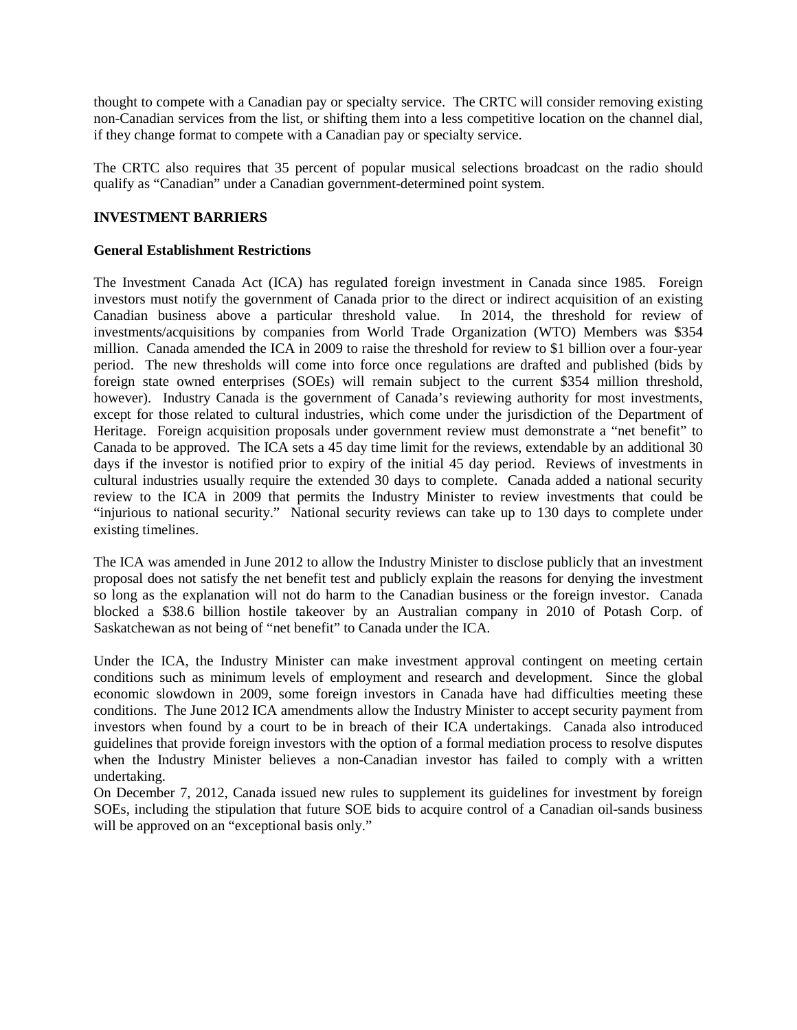thought to compete with a Canadian pay or specialty service. The CRTC will consider removing existing non-Canadian services from the list, or shifting them into a less competitive location on the channel dial, if they change format to compete with a Canadian pay or specialty service.

The CRTC also requires that 35 percent of popular musical selections broadcast on the radio should qualify as "Canadian" under a Canadian government-determined point system.

# **INVESTMENT BARRIERS**

## **General Establishment Restrictions**

The Investment Canada Act (ICA) has regulated foreign investment in Canada since 1985. Foreign investors must notify the government of Canada prior to the direct or indirect acquisition of an existing Canadian business above a particular threshold value. In 2014, the threshold for review of investments/acquisitions by companies from World Trade Organization (WTO) Members was \$354 million. Canada amended the ICA in 2009 to raise the threshold for review to \$1 billion over a four-year period. The new thresholds will come into force once regulations are drafted and published (bids by foreign state owned enterprises (SOEs) will remain subject to the current \$354 million threshold, however). Industry Canada is the government of Canada's reviewing authority for most investments, except for those related to cultural industries, which come under the jurisdiction of the Department of Heritage. Foreign acquisition proposals under government review must demonstrate a "net benefit" to Canada to be approved. The ICA sets a 45 day time limit for the reviews, extendable by an additional 30 days if the investor is notified prior to expiry of the initial 45 day period. Reviews of investments in cultural industries usually require the extended 30 days to complete. Canada added a national security review to the ICA in 2009 that permits the Industry Minister to review investments that could be "injurious to national security." National security reviews can take up to 130 days to complete under existing timelines.

The ICA was amended in June 2012 to allow the Industry Minister to disclose publicly that an investment proposal does not satisfy the net benefit test and publicly explain the reasons for denying the investment so long as the explanation will not do harm to the Canadian business or the foreign investor. Canada blocked a \$38.6 billion hostile takeover by an Australian company in 2010 of Potash Corp. of Saskatchewan as not being of "net benefit" to Canada under the ICA.

Under the ICA, the Industry Minister can make investment approval contingent on meeting certain conditions such as minimum levels of employment and research and development. Since the global economic slowdown in 2009, some foreign investors in Canada have had difficulties meeting these conditions. The June 2012 ICA amendments allow the Industry Minister to accept security payment from investors when found by a court to be in breach of their ICA undertakings. Canada also introduced guidelines that provide foreign investors with the option of a formal mediation process to resolve disputes when the Industry Minister believes a non-Canadian investor has failed to comply with a written undertaking.

On December 7, 2012, Canada issued new rules to supplement its guidelines for investment by foreign SOEs, including the stipulation that future SOE bids to acquire control of a Canadian oil-sands business will be approved on an "exceptional basis only."